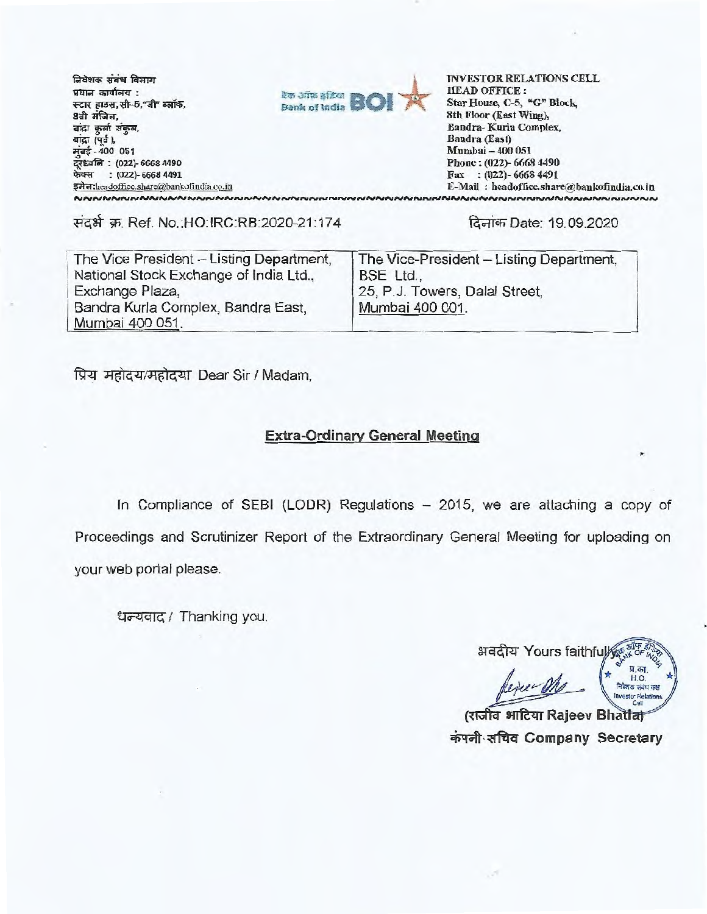निवेशक संबंध विभाग प्रधान कार्यालय : स्टार हाउस, सी-5, जी" ब्लॉक, 8वी मंजिल, बाद्रा कुर्ला संकल, बांद्रा (पूर्व), मुंबई - 400 051 द्रध्वनि : (022)- 6668 4490 फेक्स: (022)-6668 4491 इमेल: headoffice.share@bankofindia.co.in

NNNNNNNNNNNNNNNNNNN



**INVESTOR RELATIONS CELL IIEAD OFFICE:** Star House, C-5, "G" Block, 8th Floor (East Wing), Bandra-Kurla Complex, Bandra (East) Mumbai - 400 051 Phone: (022)-6668 4490 Fax:  $(022) - 66684491$ E-Mail: headoffice.share@bankofindia.co.in **UNNNNNNNNNNNNNNNNNNNNNNNN** 

संदर्भ क्र. Ref. No.:HO:IRC:RB:2020-21:174

दिनांक Date: 19.09.2020

| The Vice President - Listing Department, | The Vice-President - Listing Department, |  |
|------------------------------------------|------------------------------------------|--|
| National Stock Exchange of India Ltd.,   | BSE Ltd.,                                |  |
| Exchange Plaza,                          | 25, P.J. Towers, Dalal Street.           |  |
| Bandra Kurla Complex, Bandra East,       | Mumbai 400 001.                          |  |
| Mumbai 400 051.                          |                                          |  |

प्रिय महोदय/महोदया Dear Sir / Madam,

# **Extra-Ordinary General Meeting**

In Compliance of SEBI (LODR) Regulations - 2015, we are attaching a copy of Proceedings and Scrutinizer Report of the Extraordinary General Meeting for uploading on your web portal please.

धन्यवाद / Thanking you.

अवदीय Yours faithfull प्र का HO नवेशक संबंध कक्ष estor Relati

(राजीव आदिया Rajeev Bhattat कंपनी सचिव Company Secretary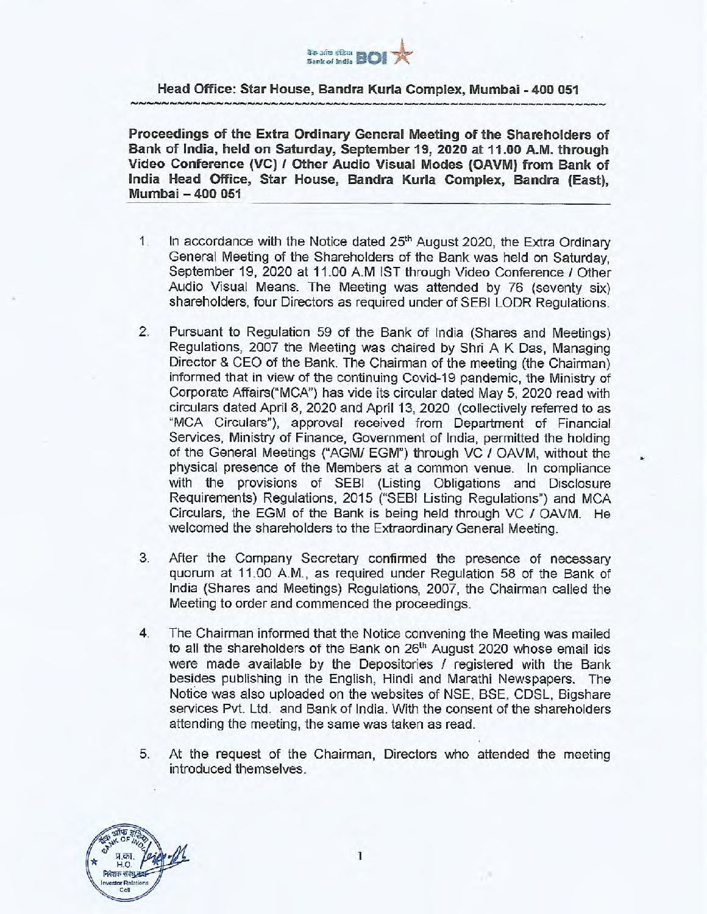

#### **Head Office: Star House, Bandra Kuria Complex, Mumbai - 400 051**  Head Office: Star House, Bandra Kuria Complex, Mumbai - 400 051

**Proceedings of the Extra Ordinary General Meeting of the Shareholders of**  Proceedings of the Extra Ordinary General Meeting of the Shareholders of **Bank of India, held on Saturday, September 19, 2020 at 11.00 A.M. through**  Bank of India, held on Saturday, September 19, 2020 at 11.00 A.M. through **Video Conference (VC) I Other Audio Visual Modes (OAVM) from Bank of**  Video Conference (VC) **I** Other Audio Visual Modes (OAVM) from Bank of **India Head Office, Star House, Bandra Kuria Complex, Bandra (East),**  India Head Office, Star House, Bandra Kuria Complex, Bandra (East), **Mumbai 400 051**  Mumbai 400 051

- 1. In accordance with the Notice dated 25th August 2020, the Extra Ordinary **1. In accordance with the Notice dated 25 th August 2020, the Extra Ordinary**  General Meeting of the Shareholders of the Bank was held on Saturday, **General Meeting of the Shareholders of the Bank was held on Saturday,**  September 19, 2020 at 11.00 A.M 1ST through Video Conference I Other **September 19, 2020 at 11.00 A.M 1ST through Video Conference I Other**  Audio Visual Means. The Meeting was attended by 76 (seventy six) **Audio Visual Means. The Meeting was attended by 76 (seventy six)**  shareholders, four Directors as required under of SEBI LODR Regulations. **shareholders, four Directors as required under of SEBI LODR Regulations.**
- 2. Pursuant to Regulation 59 of the Bank of India (Shares and Meetings) **2. Pursuant to Regulation 59 of the Bank of India (Shares and Meetings)**  Regulations, 2007 the Meeting was chaired by Shri A K Das, Managing **Regulations, 2007 the Meeting was chaired by Shri A K Das, Managing**  Director & CEO of the Bank. The Chairman of the meeting (the Chairman) **Director & CEO of the Bank. The Chairman of the meeting (the Chairman)**  informed that in view of the continuing Covid-19 pandemic, the Ministry of **informed that in view of the continuing Covid-19 pandemic, the Ministry of**  Corporate Affairs("MCA") has vide its circular dated May 5, 2020 read with **Corporate Affairs("MCA") has vide its circular dated May 5, 2020 read with**  circulars dated April 8, 2020 and April 13, 2020 (collectively referred to as **circulars dated April 8, 2020 and April 13, 2020 (collectively referred to as**  "MCA Circulars"), approval received from Department of Financial **"MCA Circulars"), approval received from Department of Financial**  Services, Ministry of Finance, Government of India, permitted the holding **Services, Ministry of Finance, Government of India, permitted the holding**  of the General Meetings ("AGM/ EGM") through VC / OAVM, without the **of the General Meetings ("AGM/ EGM") through VC / OAVM, without the**  physical presence of the Members at a common venue. In compliance **physical presence of the Members at a common venue. In compliance**  with the provisions of SEBI (Listing Obligations and Disclosure **with the provisions of SEBI (Listing Obligations and Disclosure**  Requirements) Regulations, 2015 ("SEBI Listing Regulations") and MCA **Requirements) Regulations, 2015 ("SEBI Listing Regulations") and MCA**  Circulars, the EGM of the Bank is being held through VC / OAVM. He **Circulars, the EGM of the Bank is being held through VC / OAVM. He**  welcomed the shareholders to the Extraordinary General Meeting. **welcomed the shareholders to the Extraordinary General Meeting.**
- 3. After the Company Secretary confirmed the presence of necessary **3. After the Company Secretary confirmed the presence of necessary**  quorum at 11.00 A.M., as required under Regulation 58 of the Bank of **quorum at 11.00 A.M., as required under Regulation 58 of the Bank of**  India (Shares and Meetings) Regulations, 2007, the Chairman called the **India (Shares and Meetings) Regulations, 2007, the Chairman called the**  Meeting to order and commenced the proceedings. **Meeting to order and commenced the proceedings.**
- 4. The Chairman informed that the Notice convening the Meeting was mailed **4. The Chairman informed that the Notice convening the Meeting was mailed**  to all the shareholders of the Bank on 26<sup>th</sup> August 2020 whose email ids were made available by the Depositories I registered with the Bank **were made available by the Depositories I registered with the Bank**  besides publishing in the English, Hindi and Marathi Newspapers. The **besides publishing in the English, Hindi and Marathi Newspapers. The**  Notice was also uploaded on the websites of NSE, BSE, CDSL, Bigshare **Notice was also uploaded on the websites of NSE, BSE, CDSL, Bigshare**  services Pvt. Ltd. and Bank of India. With the consent of the shareholders **services Pvt. Ltd. and Bank of India. With the consent of the shareholders**  attending the meeting, the same was taken as read. **attending the meeting, the same was taken as read.**
- 5. At the request of the Chairman, Directors who attended the meeting **5. At the request of the Chairman, Directors who attended the meeting**  introduced themselves. **introduced themselves.**

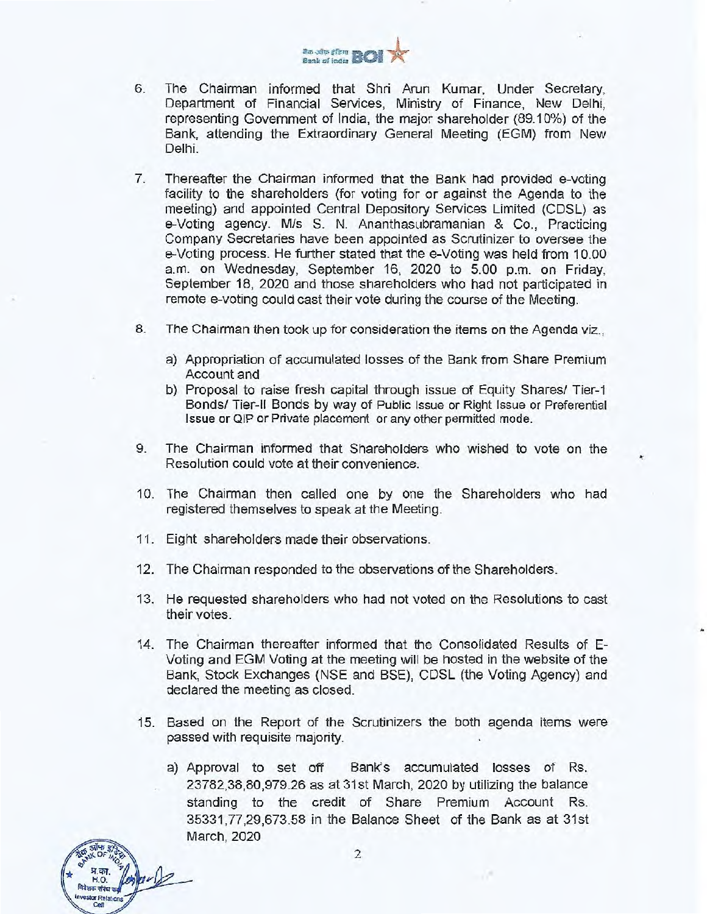

- 6. The Chairman informed that Shri Arun Kumar, Under Secretary, The Chairman informed that Shri Arun Kumar, Under Secretary,<br>Department of Financial Services, Ministry of Finance, New Delhi, representing Government of India, the major shareholder (89.10%) of the Bank, attending the Extraordinary General Meeting (EGM) from New Delhi.
- 7. Thereafter the Chairman informed that the Bank had provided e-voting facility to the shareholders (for voting for or against the Agenda to the meeting) and appointed Central Depository Services Limited (CDSL) as e-Voting agency. M/s S. N. Ananthasubramanian & Co., Practicing Company Secretaries have been appointed as Scrutinizer to oversee the e-Voting process. He further stated that the e-Voting was held from 10.00 a.m. on Wednesday, September 16, 2020 to 5.00 p.m. on Friday, e-Voting process. He further stated that the e-Voting was held from 10.00 a.m. on Wednesday, September 16, 2020 to 5.00 p.m. on Friday, September 18, 2020 and those shareholders who had not participated in September 18, 2020 and those shareholders who had not participated in<br>remote e-voting could cast their vote during the course of the Meeting. representing Government of India, the major shareholder (89.10%) of the<br>Bank, attending the Extraordinary General Meeting (EGM) from New<br>Delhi.<br>7. Thereafter the Chairman informed that the Bank had provided e-voting<br>facili
- 8. The Chairman then took up for consideration the items on the Agenda viz.,
- a) Appropriation of accumulated losses of the Bank from Share Premium 8. The Chairman then took up for consideration the items on the Agenda viz., a) Appropriation of accumulated losses of the Bank from Share Premium Account and
- b) Proposal to raise fresh capital through issue of Equity Shares/ Tier-1 Bonds/ Tier-II Bonds by way of Public Issue or Right Issue or Preferential Issue or QIP or Private placement or any other permitted mode. Account and<br>
b) Proposal to raise fresh capital through issue of Equity Shares/ Tier-1<br>
Bonds/ Tier-II Bonds by way of Public Issue or Right Issue or Preferential<br>
ssue or QIP or Private placement or any other permitted mo
- 9. The Chairman informed that Shareholders who wished to vote on the Resolution could vote at their convenience.
- 10. The Chairman then called one by one the Shareholders who had registered themselves to speak at the Meeting.
- 11. Eight shareholders made their observations.

प्र.का. *f4-'or*6 RNET *-* Investor Relations Cell

प्र.का.  $^{\frac{p}{2}}$ H. o. Investor Relations Cell

 $\frac{1}{2}$  OF C2

- 12. The Chairman responded to the observations of the Shareholders.
- 13. He requested shareholders who had not voted on the Resolutions to cast their votes.
- 14. The Chairman thereafter informed that the Consolidated Results of E-Voting and EGM Voting at the meeting will be hosted in the website of the Voting and EGM Voting at the meeting will be hosted in the website of the<br>Bank, Stock Exchanges (NSE and BSE), CDSL (the Voting Agency) and declared the meeting as closed. declared the meeting as closed.
- 15. Based on the Report of the Scrutinizers the both agenda items were passed with requisite majority.
- a) Approval to set off Bank's accumulated losses of Rs. 23782,38,80,979.26 as at 31st March, 2020 by utilizing the balance standing to the credit of Share Premium Account Rs. 35331,77,29,673.58 in the Balance Sheet of the Bank as at 31st March, 2020 15. Based on the Report of the Scrutinizers the both agenda items were<br>passed with requisite majority.<br>a) Approval to set off Bank's accumulated losses of Rs.<br>23782,38,80,979.26 as at 31st March, 2020 by utilizing the bala

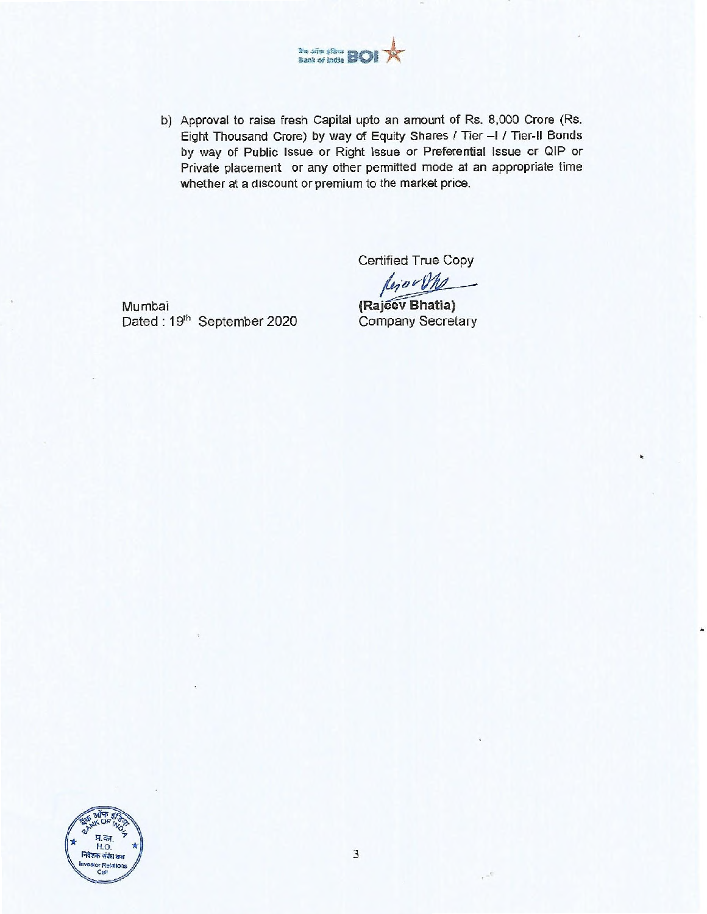

b) Approval to raise fresh Capital upto an amount of Rs. 8,000 Crore (Rs. Eight Thousand Crore) by way of Equity Shares / Tier - I / Tier-II Bonds by way of Public Issue or Right Issue or Preferential Issue or QIP or Private placement or any other permitted mode at an appropriate time whether at a discount or premium to the market price.

Certified True Copy

 $\mu_j$  ov  $\mathcal{V}$ 

Mumbai Dated: 19th September 2020 Company Secretary



 $\mathcal{L}^{\mathcal{C}}$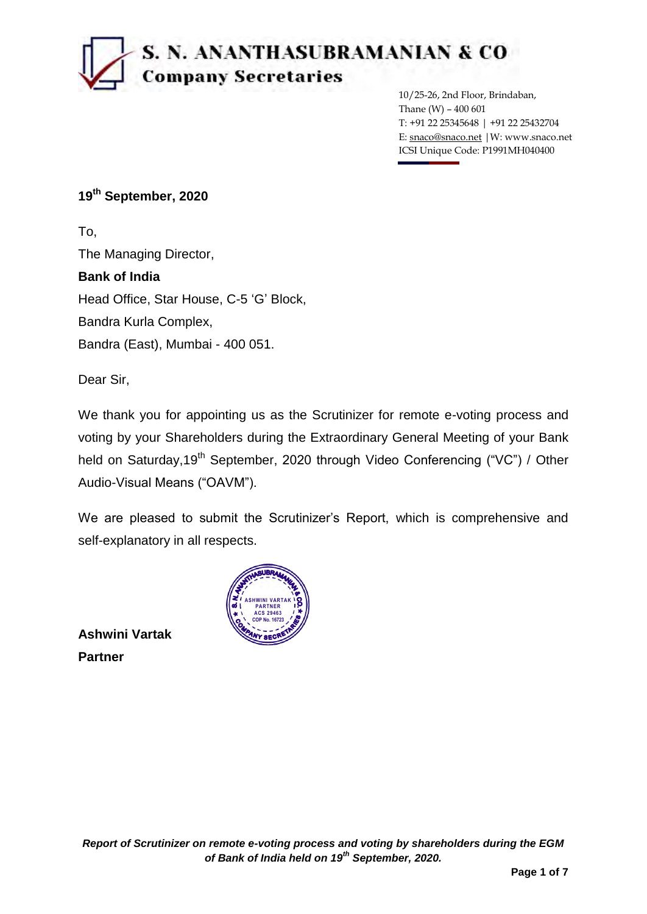# r7), **S. N. ANANTHASUBRAMANIAN SI CO Company Secretaries**

10/25-26, 2nd Floor, Brindaban, Thane (W) – 400 601 T: +91 22 25345648 | +91 22 25432704 E: snaco@snaco.net |W: www.snaco.net ICSI Unique Code: P1991MH040400

## **19th September, 2020**

To, The Managing Director, **Bank of India** Head Office, Star House, C-5 "G" Block, Bandra Kurla Complex, Bandra (East), Mumbai - 400 051.

Dear Sir,

We thank you for appointing us as the Scrutinizer for remote e-voting process and voting by your Shareholders during the Extraordinary General Meeting of your Bank held on Saturday,19<sup>th</sup> September, 2020 through Video Conferencing ("VC") / Other Audio-Visual Means ("OAVM").

We are pleased to submit the Scrutinizer's Report, which is comprehensive and self-explanatory in all respects.

**Ashwini Vartak Partner**



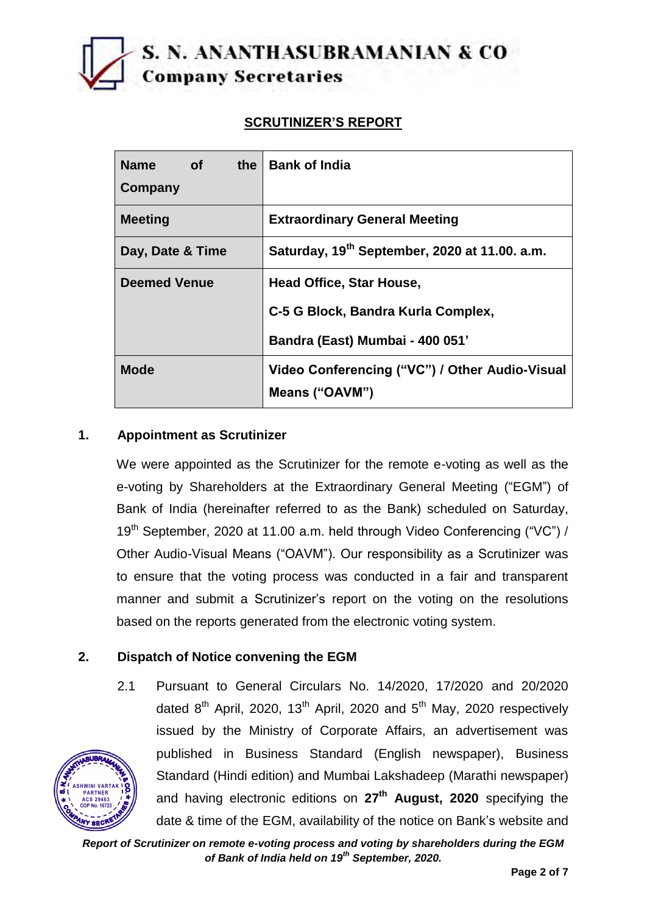# **S. N. ANANTHASUBRAMANIAN & CO Company Secretaries**

# **SCRUTINIZER'S REPORT**

| <b>Name</b><br>the<br>of <b>o</b><br>Company | <b>Bank of India</b>                                             |
|----------------------------------------------|------------------------------------------------------------------|
| <b>Meeting</b>                               | <b>Extraordinary General Meeting</b>                             |
| Day, Date & Time                             | Saturday, 19 <sup>th</sup> September, 2020 at 11.00. a.m.        |
| <b>Deemed Venue</b>                          | Head Office, Star House,                                         |
|                                              | C-5 G Block, Bandra Kurla Complex,                               |
|                                              | Bandra (East) Mumbai - 400 051'                                  |
| <b>Mode</b>                                  | Video Conferencing ("VC") / Other Audio-Visual<br>Means ("OAVM") |

### **1. Appointment as Scrutinizer**

We were appointed as the Scrutinizer for the remote e-voting as well as the e-voting by Shareholders at the Extraordinary General Meeting ("EGM") of Bank of India (hereinafter referred to as the Bank) scheduled on Saturday, 19<sup>th</sup> September, 2020 at 11.00 a.m. held through Video Conferencing ("VC") / Other Audio-Visual Means ("OAVM"). Our responsibility as a Scrutinizer was to ensure that the voting process was conducted in a fair and transparent manner and submit a Scrutinizer"s report on the voting on the resolutions based on the reports generated from the electronic voting system.

### **2. Dispatch of Notice convening the EGM**

**PARTNER ACS 29463 COP No. 16723**

2.1 Pursuant to General Circulars No. 14/2020, 17/2020 and 20/2020 dated  $8<sup>th</sup>$  April, 2020, 13<sup>th</sup> April, 2020 and  $5<sup>th</sup>$  May, 2020 respectively issued by the Ministry of Corporate Affairs, an advertisement was published in Business Standard (English newspaper), Business Standard (Hindi edition) and Mumbai Lakshadeep (Marathi newspaper) and having electronic editions on **27th August, 2020** specifying the date & time of the EGM, availability of the notice on Bank"s website and **ASHWINI VARTAK**

*Report of Scrutinizer on remote e-voting process and voting by shareholders during the EGM of Bank of India held on 19th September, 2020.*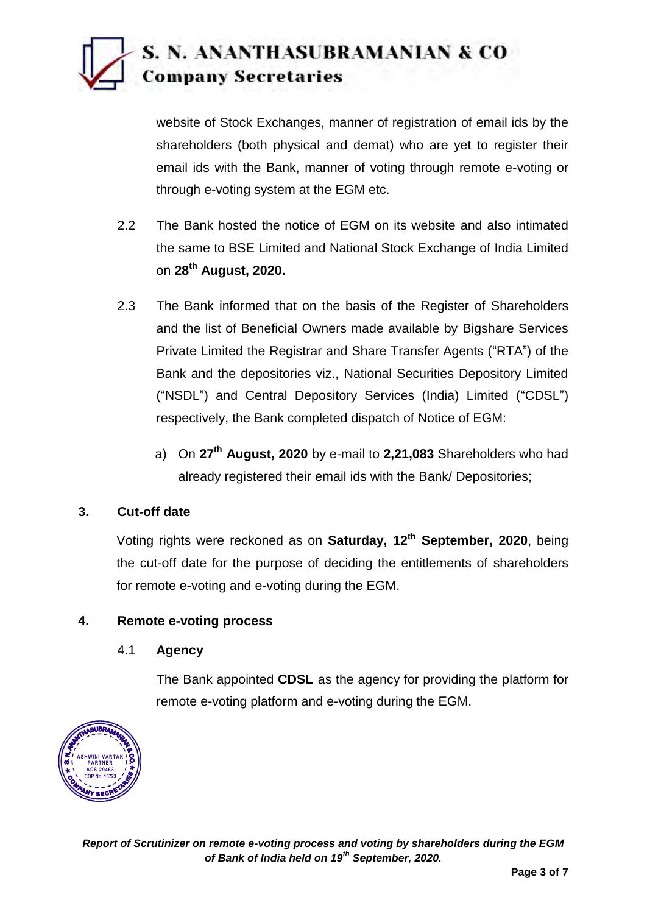# **S. N. ANANTHASUBRAMANIAN** *&* **CO ',N1=i Company Secretaries**

website of Stock Exchanges, manner of registration of email ids by the shareholders (both physical and demat) who are yet to register their email ids with the Bank, manner of voting through remote e-voting or through e-voting system at the EGM etc.

- 2.2 The Bank hosted the notice of EGM on its website and also intimated the same to BSE Limited and National Stock Exchange of India Limited on **28th August, 2020.**
- 2.3 The Bank informed that on the basis of the Register of Shareholders and the list of Beneficial Owners made available by Bigshare Services Private Limited the Registrar and Share Transfer Agents ("RTA") of the Bank and the depositories viz., National Securities Depository Limited ("NSDL") and Central Depository Services (India) Limited ("CDSL") respectively, the Bank completed dispatch of Notice of EGM:
	- a) On **27th August, 2020** by e-mail to **2,21,083** Shareholders who had already registered their email ids with the Bank/ Depositories;

# **3. Cut-off date**

Voting rights were reckoned as on **Saturday, 12th September, 2020**, being the cut-off date for the purpose of deciding the entitlements of shareholders for remote e-voting and e-voting during the EGM.

### **4. Remote e-voting process**

#### 4.1 **Agency**

The Bank appointed **CDSL** as the agency for providing the platform for remote e-voting platform and e-voting during the EGM.

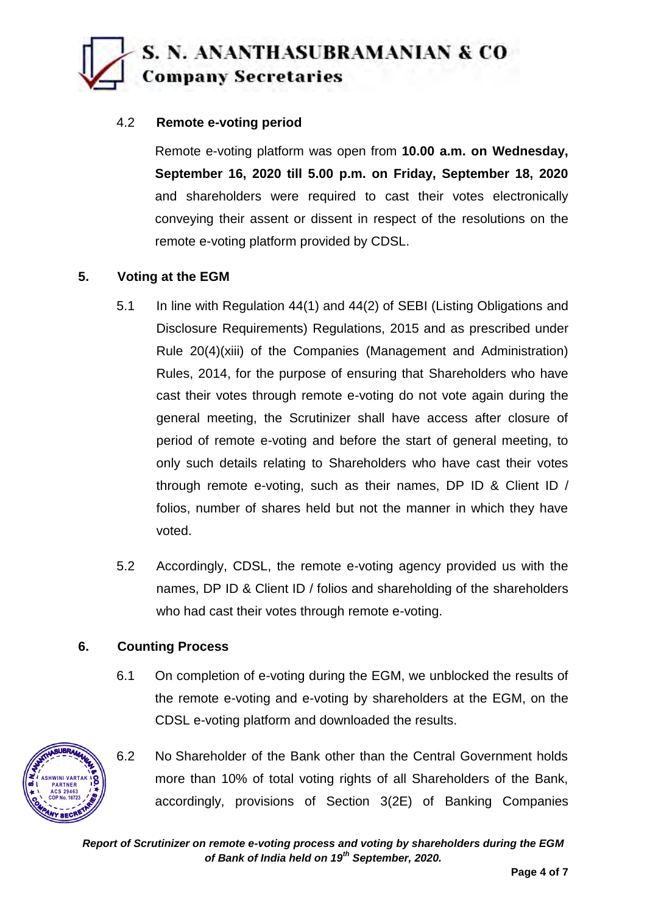# **S. N. ANANTHASUBRAMANIAN & CO Company Secretaries**

### 4.2 **Remote e-voting period**

Remote e-voting platform was open from **10.00 a.m. on Wednesday, September 16, 2020 till 5.00 p.m. on Friday, September 18, 2020**  and shareholders were required to cast their votes electronically conveying their assent or dissent in respect of the resolutions on the remote e-voting platform provided by CDSL.

### **5. Voting at the EGM**

- 5.1 In line with Regulation 44(1) and 44(2) of SEBI (Listing Obligations and Disclosure Requirements) Regulations, 2015 and as prescribed under Rule 20(4)(xiii) of the Companies (Management and Administration) Rules, 2014, for the purpose of ensuring that Shareholders who have cast their votes through remote e-voting do not vote again during the general meeting, the Scrutinizer shall have access after closure of period of remote e-voting and before the start of general meeting, to only such details relating to Shareholders who have cast their votes through remote e-voting, such as their names, DP ID & Client ID / folios, number of shares held but not the manner in which they have voted.
- 5.2 Accordingly, CDSL, the remote e-voting agency provided us with the names, DP ID & Client ID / folios and shareholding of the shareholders who had cast their votes through remote e-voting.

### **6. Counting Process**

**ASHWINI VARTAK PARTNER ACS 29463 COP No. 16723**

6.1 On completion of e-voting during the EGM, we unblocked the results of the remote e-voting and e-voting by shareholders at the EGM, on the CDSL e-voting platform and downloaded the results.



*Report of Scrutinizer on remote e-voting process and voting by shareholders during the EGM of Bank of India held on 19th September, 2020.*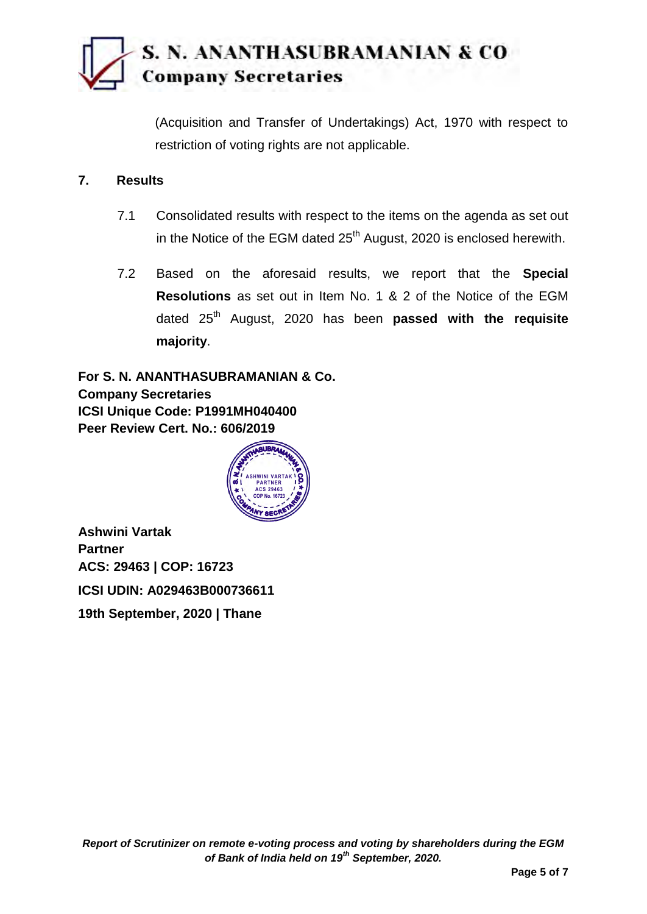# **S. N. ANANTHASUBRAMANIAN & CO Company Secretaries**

(Acquisition and Transfer of Undertakings) Act, 1970 with respect to restriction of voting rights are not applicable.

#### **7. Results**

- 7.1 Consolidated results with respect to the items on the agenda as set out in the Notice of the EGM dated  $25<sup>th</sup>$  August, 2020 is enclosed herewith.
- 7.2 Based on the aforesaid results, we report that the **Special Resolutions** as set out in Item No. 1 & 2 of the Notice of the EGM dated 25<sup>th</sup> August, 2020 has been **passed with the requisite majority**.

**For S. N. ANANTHASUBRAMANIAN & Co. Company Secretaries ICSI Unique Code: P1991MH040400 Peer Review Cert. No.: 606/2019**



**Ashwini Vartak Partner ACS: 29463 | COP: 16723 ICSI UDIN: A029463B000736611 19th September, 2020 | Thane**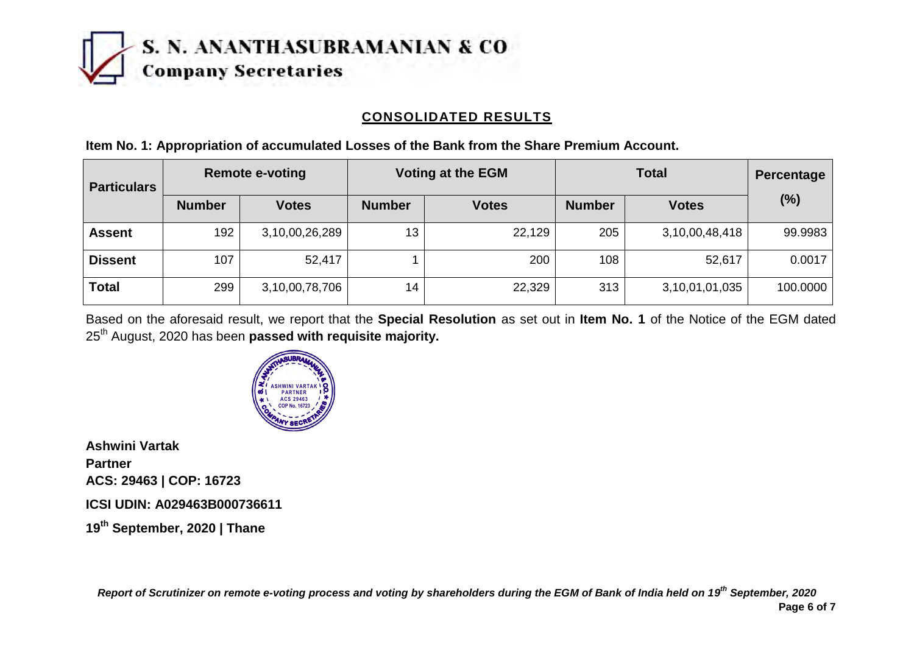

### **CONSOLIDATED RESULTS**

| <b>Particulars</b> | <b>Remote e-voting</b> |                | <b>Voting at the EGM</b> |              | <b>Total</b>  |                | Percentage |
|--------------------|------------------------|----------------|--------------------------|--------------|---------------|----------------|------------|
|                    | <b>Number</b>          | <b>Votes</b>   | <b>Number</b>            | <b>Votes</b> | <b>Number</b> | <b>Votes</b>   | (%)        |
| <b>Assent</b>      | 192                    | 3,10,00,26,289 | 13                       | 22,129       | 205           | 3,10,00,48,418 | 99.9983    |
| <b>Dissent</b>     | 107                    | 52,417         |                          | 200          | 108           | 52,617         | 0.0017     |
| <b>Total</b>       | 299                    | 3,10,00,78,706 | 14                       | 22,329       | 313           | 3,10,01,01,035 | 100.0000   |

**Item No. 1: Appropriation of accumulated Losses of the Bank from the Share Premium Account.**

Based on the aforesaid result, we report that the **Special Resolution** as set out in **Item No. 1** of the Notice of the EGM dated 25th August, 2020 has been **passed with requisite majority.**



**Ashwini Vartak Partner ACS: 29463 | COP: 16723 ICSI UDIN: A029463B000736611 19th September, 2020 | Thane**